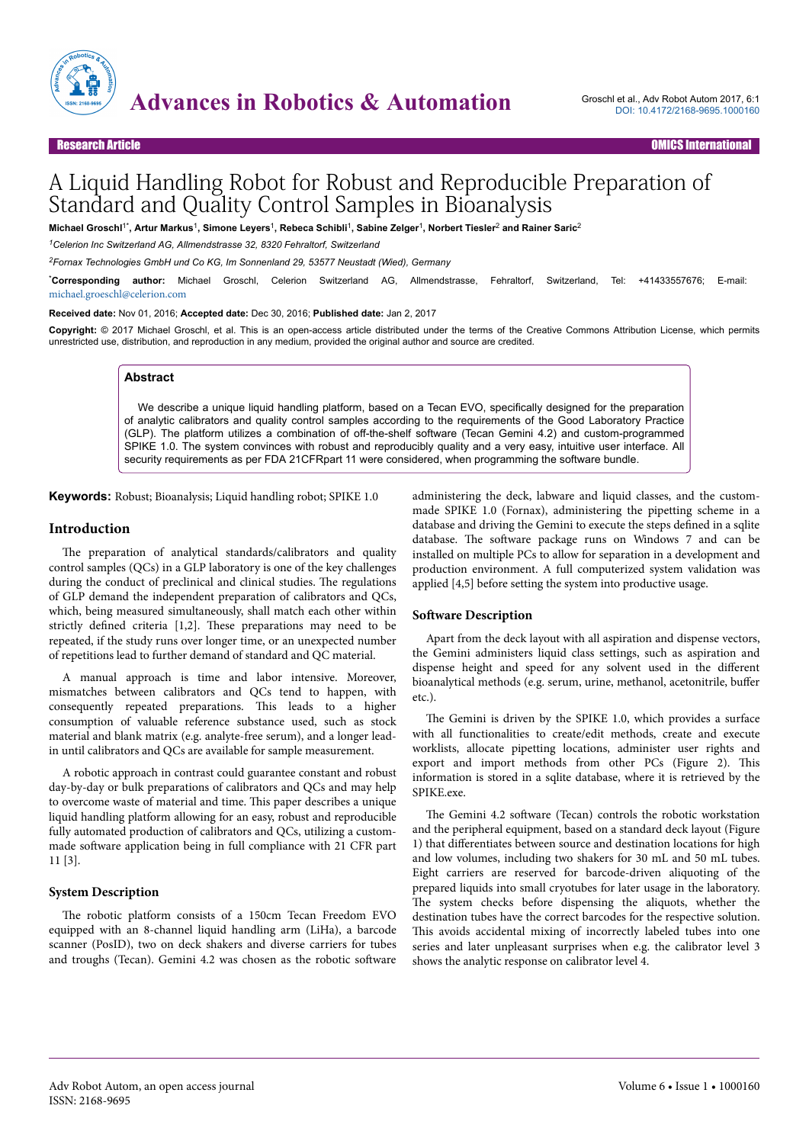

# A Liquid Handling Robot for Robust and Reproducible Preparation of Standard and Quality Control Samples in Bioanalysis

**Michael Groschl**1\***, Artur Markus**<sup>1</sup> **, Simone Leyers**<sup>1</sup> **, Rebeca Schibli**<sup>1</sup> **, Sabine Zelger**<sup>1</sup> **, Norbert Tiesler**<sup>2</sup>  **and Rainer Saric**<sup>2</sup>

*<sup>1</sup>Celerion Inc Switzerland AG, Allmendstrasse 32, 8320 Fehraltorf, Switzerland*

*<sup>2</sup>Fornax Technologies GmbH und Co KG, Im Sonnenland 29, 53577 Neustadt (Wied), Germany*

\***Corresponding author:** Michael Groschl, Celerion Switzerland AG, Allmendstrasse, Fehraltorf, Switzerland, Tel: +41433557676; E-mail: [michael.groeschl@celerion.com](mailto:michael.groeschl@celerion.com)

**Received date:** Nov 01, 2016; **Accepted date:** Dec 30, 2016; **Published date:** Jan 2, 2017

**Copyright:** © 2017 Michael Groschl, et al. This is an open-access article distributed under the terms of the Creative Commons Attribution License, which permits unrestricted use, distribution, and reproduction in any medium, provided the original author and source are credited.

## **Abstract**

We describe a unique liquid handling platform, based on a Tecan EVO, specifically designed for the preparation of analytic calibrators and quality control samples according to the requirements of the Good Laboratory Practice (GLP). The platform utilizes a combination of off-the-shelf software (Tecan Gemini 4.2) and custom-programmed SPIKE 1.0. The system convinces with robust and reproducibly quality and a very easy, intuitive user interface. All security requirements as per FDA 21CFRpart 11 were considered, when programming the software bundle.

**Keywords:** Robust; Bioanalysis; Liquid handling robot; SPIKE 1.0

#### **Introduction**

The preparation of analytical standards/calibrators and quality control samples (QCs) in a GLP laboratory is one of the key challenges during the conduct of preclinical and clinical studies. Нe regulations of GLP demand the independent preparation of calibrators and QCs, which, being measured simultaneously, shall match each other within strictly defined criteria [1,2]. Нese preparations may need to be repeated, if the study runs over longer time, or an unexpected number of repetitions lead to further demand of standard and QC material.

A manual approach is time and labor intensive. Moreover, mismatches between calibrators and QCs tend to happen, with consequently repeated preparations. Нis leads to a higher consumption of valuable reference substance used, such as stock material and blank matrix (e.g. analyte-free serum), and a longer leadin until calibrators and QCs are available for sample measurement.

A robotic approach in contrast could guarantee constant and robust day-by-day or bulk preparations of calibrators and QCs and may help to overcome waste of material and time. Нis paper describes a unique liquid handling platform allowing for an easy, robust and reproducible fully automated production of calibrators and QCs, utilizing a custommade software application being in full compliance with 21 CFR part 11 [3].

#### **System Description**

The robotic platform consists of a 150cm Tecan Freedom EVO equipped with an 8-channel liquid handling arm (LiHa), a barcode scanner (PosID), two on deck shakers and diverse carriers for tubes and troughs (Tecan). Gemini 4.2 was chosen as the robotic software

administering the deck, labware and liquid classes, and the custommade SPIKE 1.0 (Fornax), administering the pipetting scheme in a database and driving the Gemini to execute the steps defined in a sqlite database. The software package runs on Windows 7 and can be installed on multiple PCs to allow for separation in a development and production environment. A full computerized system validation was applied [4,5] before setting the system into productive usage.

#### **Software Description**

Apart from the deck layout with all aspiration and dispense vectors, the Gemini administers liquid class settings, such as aspiration and dispense height and speed for any solvent used in the different bioanalytical methods (e.g. serum, urine, methanol, acetonitrile, buffer etc.).

The Gemini is driven by the SPIKE 1.0, which provides a surface with all functionalities to create/edit methods, create and execute worklists, allocate pipetting locations, administer user rights and export and import methods from other PCs (Figure 2). Нis information is stored in a sqlite database, where it is retrieved by the SPIKE.exe.

The Gemini 4.2 software (Tecan) controls the robotic workstation and the peripheral equipment, based on a standard deck layout (Figure 1) that differentiates between source and destination locations for high and low volumes, including two shakers for 30 mL and 50 mL tubes. Eight carriers are reserved for barcode-driven aliquoting of the prepared liquids into small cryotubes for later usage in the laboratory. The system checks before dispensing the aliquots, whether the destination tubes have the correct barcodes for the respective solution. This avoids accidental mixing of incorrectly labeled tubes into one series and later unpleasant surprises when e.g. the calibrator level 3 shows the analytic response on calibrator level 4.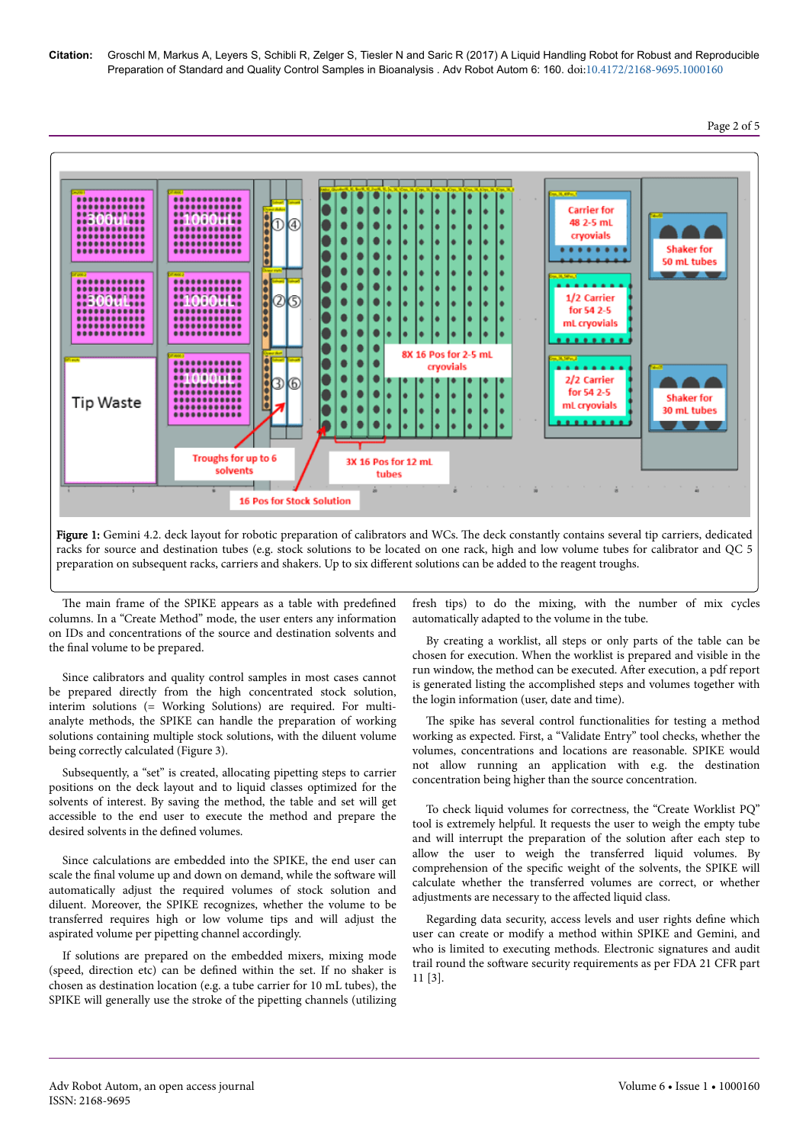## Page 2 of 5



Figure 1: Gemini 4.2. deck layout for robotic preparation of calibrators and WCs. The deck constantly contains several tip carriers, dedicated racks for source and destination tubes (e.g. stock solutions to be located on one rack, high and low volume tubes for calibrator and QC 5 preparation on subsequent racks, carriers and shakers. Up to six different solutions can be added to the reagent troughs.

The main frame of the SPIKE appears as a table with predefined columns. In a "Create Method" mode, the user enters any information on IDs and concentrations of the source and destination solvents and the final volume to be prepared.

Since calibrators and quality control samples in most cases cannot be prepared directly from the high concentrated stock solution, interim solutions (= Working Solutions) are required. For multianalyte methods, the SPIKE can handle the preparation of working solutions containing multiple stock solutions, with the diluent volume being correctly calculated (Figure 3).

Subsequently, a "set" is created, allocating pipetting steps to carrier positions on the deck layout and to liquid classes optimized for the solvents of interest. By saving the method, the table and set will get accessible to the end user to execute the method and prepare the desired solvents in the defined volumes.

Since calculations are embedded into the SPIKE, the end user can scale the final volume up and down on demand, while the software will automatically adjust the required volumes of stock solution and diluent. Moreover, the SPIKE recognizes, whether the volume to be transferred requires high or low volume tips and will adjust the aspirated volume per pipetting channel accordingly.

If solutions are prepared on the embedded mixers, mixing mode (speed, direction etc) can be defined within the set. If no shaker is chosen as destination location (e.g. a tube carrier for 10 mL tubes), the SPIKE will generally use the stroke of the pipetting channels (utilizing fresh tips) to do the mixing, with the number of mix cycles automatically adapted to the volume in the tube.

By creating a worklist, all steps or only parts of the table can be chosen for execution. When the worklist is prepared and visible in the run window, the method can be executed. After execution, a pdf report is generated listing the accomplished steps and volumes together with the login information (user, date and time).

The spike has several control functionalities for testing a method working as expected. First, a "Validate Entry" tool checks, whether the volumes, concentrations and locations are reasonable. SPIKE would not allow running an application with e.g. the destination concentration being higher than the source concentration.

To check liquid volumes for correctness, the "Create Worklist PQ" tool is extremely helpful. It requests the user to weigh the empty tube and will interrupt the preparation of the solution after each step to allow the user to weigh the transferred liquid volumes. By comprehension of the specific weight of the solvents, the SPIKE will calculate whether the transferred volumes are correct, or whether adjustments are necessary to the affected liquid class.

Regarding data security, access levels and user rights define which user can create or modify a method within SPIKE and Gemini, and who is limited to executing methods. Electronic signatures and audit trail round the software security requirements as per FDA 21 CFR part 11 [3].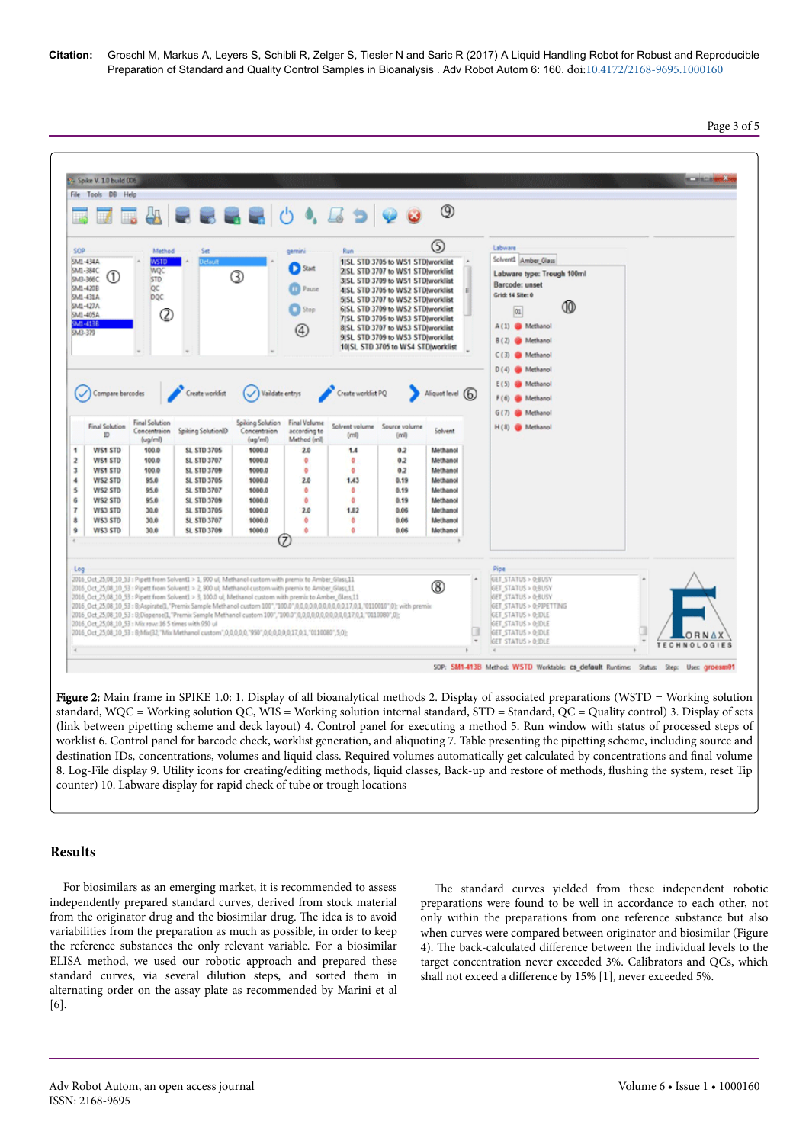Page 3 of 5



Figure 2: Main frame in SPIKE 1.0: 1. Display of all bioanalytical methods 2. Display of associated preparations (WSTD = Working solution standard, WQC = Working solution QC, WIS = Working solution internal standard, STD = Standard, QC = Quality control) 3. Display of sets (link between pipetting scheme and deck layout) 4. Control panel for executing a method 5. Run window with status of processed steps of worklist 6. Control panel for barcode check, worklist generation, and aliquoting 7. Table presenting the pipetting scheme, including source and destination IDs, concentrations, volumes and liquid class. Required volumes automatically get calculated by concentrations and final volume 8. Log-File display 9. Utility icons for creating/editing methods, liquid classes, Back-up and restore of methods, flushing the system, reset Tip counter) 10. Labware display for rapid check of tube or trough locations

# **Results**

For biosimilars as an emerging market, it is recommended to assess independently prepared standard curves, derived from stock material from the originator drug and the biosimilar drug. Нe idea is to avoid variabilities from the preparation as much as possible, in order to keep the reference substances the only relevant variable. For a biosimilar ELISA method, we used our robotic approach and prepared these standard curves, via several dilution steps, and sorted them in alternating order on the assay plate as recommended by Marini et al [6].

The standard curves yielded from these independent robotic preparations were found to be well in accordance to each other, not only within the preparations from one reference substance but also when curves were compared between originator and biosimilar (Figure 4). The back-calculated difference between the individual levels to the target concentration never exceeded 3%. Calibrators and QCs, which shall not exceed a difference by 15% [1], never exceeded 5%.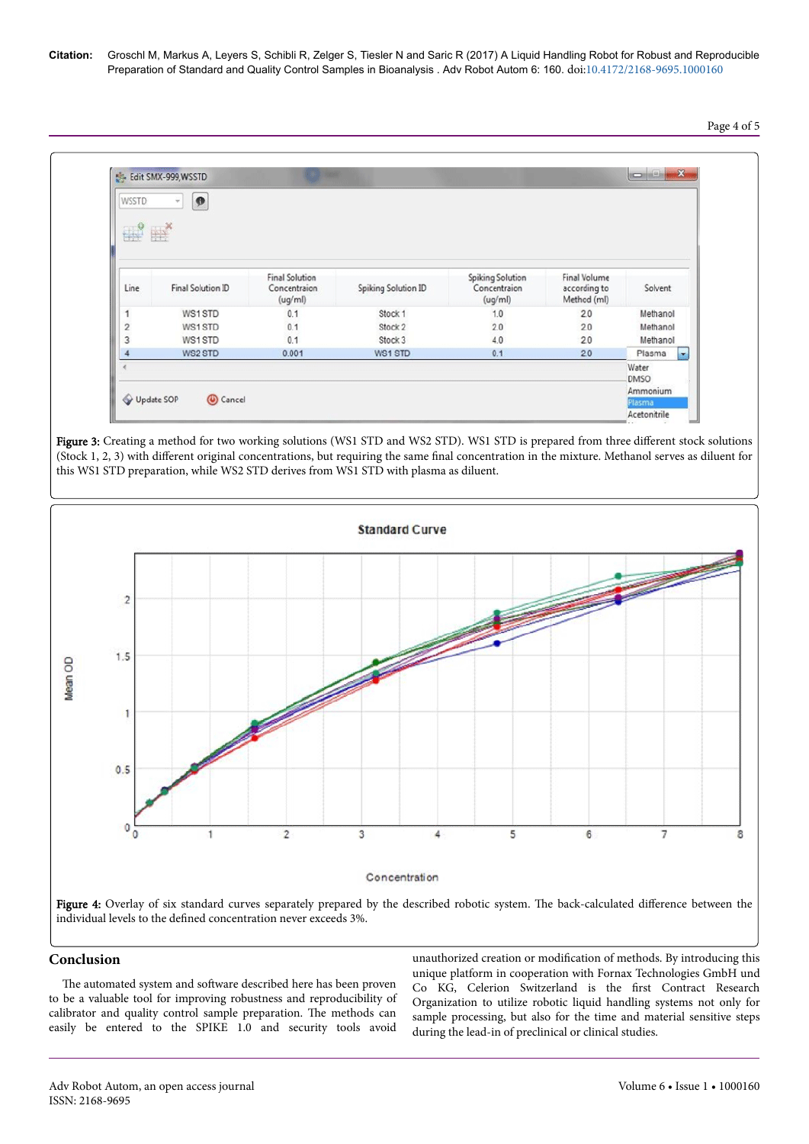**Citation:** Groschl M, Markus A, Leyers S, Schibli R, Zelger S, Tiesler N and Saric R (2017) A Liquid Handling Robot for Robust and Reproducible Preparation of Standard and Quality Control Samples in Bioanalysis . Adv Robot Autom 6: 160. doi:10.4172/2168-9695.1000160

| 电展<br><b>Final Solution</b><br><b>Spiking Solution</b><br><b>Final Volume</b><br>Line<br>Final Solution ID<br>Spiking Solution ID<br>Concentraion<br>Solvent<br>Concentraion<br>according to<br>Method (ml)<br>(ug/ml)<br>(ug/ml)<br>2.0<br>0.1<br>Stock 1<br>1.0<br>WS1 STD<br>Methanol<br>2.0<br>0.1<br>$\overline{c}$<br>2.0<br>Stock 2<br>WS1 STD<br>Methanol<br>3<br>0.1<br>4.0<br>2.0<br>WS1 STD<br>Stock 3<br>Methanol<br>Plasma<br>2.0<br>WS2 STD<br>0.001<br>0.1<br>WS1 STD<br>Water<br><b>DMSO</b> | WSSTD      | $\pmb{\Theta}$<br>$\sim$ |  |  |                    |
|--------------------------------------------------------------------------------------------------------------------------------------------------------------------------------------------------------------------------------------------------------------------------------------------------------------------------------------------------------------------------------------------------------------------------------------------------------------------------------------------------------------|------------|--------------------------|--|--|--------------------|
|                                                                                                                                                                                                                                                                                                                                                                                                                                                                                                              |            |                          |  |  |                    |
|                                                                                                                                                                                                                                                                                                                                                                                                                                                                                                              |            |                          |  |  |                    |
|                                                                                                                                                                                                                                                                                                                                                                                                                                                                                                              |            |                          |  |  |                    |
|                                                                                                                                                                                                                                                                                                                                                                                                                                                                                                              |            |                          |  |  |                    |
|                                                                                                                                                                                                                                                                                                                                                                                                                                                                                                              |            |                          |  |  |                    |
|                                                                                                                                                                                                                                                                                                                                                                                                                                                                                                              |            |                          |  |  |                    |
|                                                                                                                                                                                                                                                                                                                                                                                                                                                                                                              |            |                          |  |  |                    |
|                                                                                                                                                                                                                                                                                                                                                                                                                                                                                                              |            |                          |  |  | be.                |
|                                                                                                                                                                                                                                                                                                                                                                                                                                                                                                              |            |                          |  |  |                    |
|                                                                                                                                                                                                                                                                                                                                                                                                                                                                                                              | Update SOP | Cancel                   |  |  | Ammonium<br>Plasma |

Figure 3: Creating a method for two working solutions (WS1 STD and WS2 STD). WS1 STD is prepared from three different stock solutions (Stock 1, 2, 3) with different original concentrations, but requiring the same final concentration in the mixture. Methanol serves as diluent for this WS1 STD preparation, while WS2 STD derives from WS1 STD with plasma as diluent.



## **Conclusion**

The automated system and software described here has been proven to be a valuable tool for improving robustness and reproducibility of calibrator and quality control sample preparation. Нe methods can easily be entered to the SPIKE 1.0 and security tools avoid

unauthorized creation or modification of methods. By introducing this unique platform in cooperation with Fornax Technologies GmbH und Co KG, Celerion Switzerland is the first Contract Research Organization to utilize robotic liquid handling systems not only for sample processing, but also for the time and material sensitive steps during the lead-in of preclinical or clinical studies.